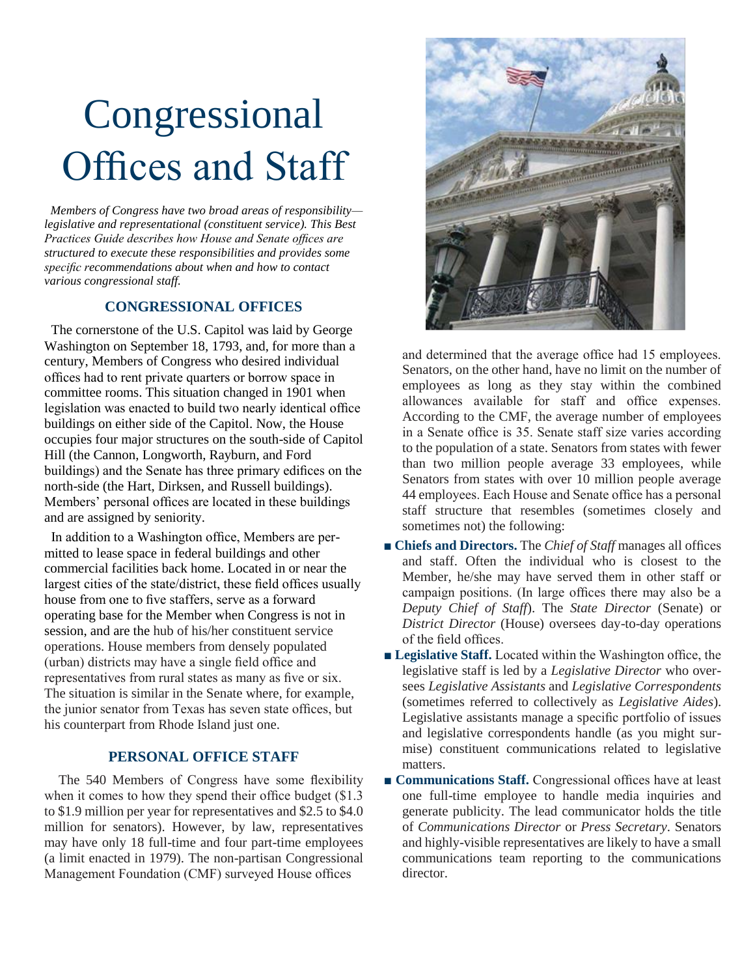# Congressional Offices and Staff

 *Members of Congress have two broad areas of responsibility legislative and representational (constituent service). This Best Practices Guide describes how House and Senate offices are structured to execute these responsibilities and provides some specific recommendations about when and how to contact various congressional staff.* 

# **CONGRESSIONAL OFFICES**

 The cornerstone of the U.S. Capitol was laid by George Washington on September 18, 1793, and, for more than a century, Members of Congress who desired individual offices had to rent private quarters or borrow space in committee rooms. This situation changed in 1901 when legislation was enacted to build two nearly identical office buildings on either side of the Capitol. Now, the House occupies four major structures on the south-side of Capitol Hill (the Cannon, Longworth, Rayburn, and Ford buildings) and the Senate has three primary edifices on the north-side (the Hart, Dirksen, and Russell buildings). Members' personal offices are located in these buildings and are assigned by seniority.

 In addition to a Washington office, Members are permitted to lease space in federal buildings and other commercial facilities back home. Located in or near the largest cities of the state/district, these field offices usually house from one to five staffers, serve as a forward operating base for the Member when Congress is not in session, and are the hub of his/her constituent service operations. House members from densely populated (urban) districts may have a single field office and representatives from rural states as many as five or six. The situation is similar in the Senate where, for example, the junior senator from Texas has seven state offices, but his counterpart from Rhode Island just one.

### **PERSONAL OFFICE STAFF**

The 540 Members of Congress have some flexibility when it comes to how they spend their office budget (\$1.3) to \$1.9 million per year for representatives and \$2.5 to \$4.0 million for senators). However, by law, representatives may have only 18 full-time and four part-time employees (a limit enacted in 1979). The non-partisan Congressional Management Foundation (CMF) surveyed House offices



and determined that the average office had 15 employees. Senators, on the other hand, have no limit on the number of employees as long as they stay within the combined allowances available for staff and office expenses. According to the CMF, the average number of employees in a Senate office is 35. Senate staff size varies according to the population of a state. Senators from states with fewer than two million people average 33 employees, while Senators from states with over 10 million people average 44 employees. Each House and Senate office has a personal staff structure that resembles (sometimes closely and sometimes not) the following:

- **Chiefs and Directors.** The *Chief of Staff* manages all offices and staff. Often the individual who is closest to the Member, he/she may have served them in other staff or campaign positions. (In large offices there may also be a *Deputy Chief of Staff*). The *State Director* (Senate) or *District Director* (House) oversees day-to-day operations of the field offices.
- **Legislative Staff.** Located within the Washington office, the legislative staff is led by a *Legislative Director* who oversees *Legislative Assistants* and *Legislative Correspondents*  (sometimes referred to collectively as *Legislative Aides*). Legislative assistants manage a specific portfolio of issues and legislative correspondents handle (as you might surmise) constituent communications related to legislative matters.
- **Communications Staff.** Congressional offices have at least one full-time employee to handle media inquiries and generate publicity. The lead communicator holds the title of *Communications Director* or *Press Secretary*. Senators and highly-visible representatives are likely to have a small communications team reporting to the communications director.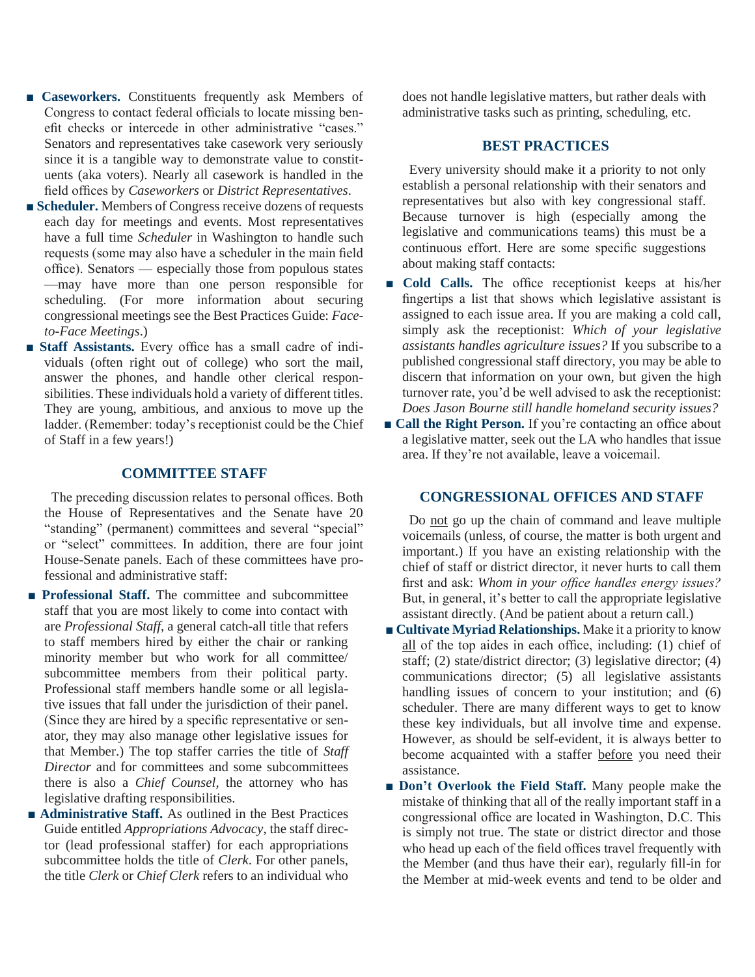- **Caseworkers.** Constituents frequently ask Members of Congress to contact federal officials to locate missing benefit checks or intercede in other administrative "cases." Senators and representatives take casework very seriously since it is a tangible way to demonstrate value to constituents (aka voters). Nearly all casework is handled in the field offices by *Caseworkers* or *District Representatives*.
- **Scheduler.** Members of Congress receive dozens of requests each day for meetings and events. Most representatives have a full time *Scheduler* in Washington to handle such requests (some may also have a scheduler in the main field office). Senators — especially those from populous states —may have more than one person responsible for scheduling. (For more information about securing congressional meetings see the Best Practices Guide: *Faceto-Face Meetings*.)
- **Staff Assistants.** Every office has a small cadre of individuals (often right out of college) who sort the mail, answer the phones, and handle other clerical responsibilities. These individuals hold a variety of different titles. They are young, ambitious, and anxious to move up the ladder. (Remember: today's receptionist could be the Chief of Staff in a few years!)

#### **COMMITTEE STAFF**

 The preceding discussion relates to personal offices. Both the House of Representatives and the Senate have 20 "standing" (permanent) committees and several "special" or "select" committees. In addition, there are four joint House-Senate panels. Each of these committees have professional and administrative staff:

- **Professional Staff.** The committee and subcommittee staff that you are most likely to come into contact with are *Professional Staff,* a general catch-all title that refers to staff members hired by either the chair or ranking minority member but who work for all committee/ subcommittee members from their political party. Professional staff members handle some or all legislative issues that fall under the jurisdiction of their panel. (Since they are hired by a specific representative or senator, they may also manage other legislative issues for that Member.) The top staffer carries the title of *Staff Director* and for committees and some subcommittees there is also a *Chief Counsel,* the attorney who has legislative drafting responsibilities.
- **Administrative Staff.** As outlined in the Best Practices Guide entitled *Appropriations Advocacy*, the staff director (lead professional staffer) for each appropriations subcommittee holds the title of *Clerk*. For other panels, the title *Clerk* or *Chief Clerk* refers to an individual who

does not handle legislative matters, but rather deals with administrative tasks such as printing, scheduling, etc.

#### **BEST PRACTICES**

 Every university should make it a priority to not only establish a personal relationship with their senators and representatives but also with key congressional staff. Because turnover is high (especially among the legislative and communications teams) this must be a continuous effort. Here are some specific suggestions about making staff contacts:

- **Cold Calls.** The office receptionist keeps at his/her fingertips a list that shows which legislative assistant is assigned to each issue area. If you are making a cold call, simply ask the receptionist: *Which of your legislative assistants handles agriculture issues?* If you subscribe to a published congressional staff directory, you may be able to discern that information on your own, but given the high turnover rate, you'd be well advised to ask the receptionist: *Does Jason Bourne still handle homeland security issues?*
- **Call the Right Person.** If you're contacting an office about a legislative matter, seek out the LA who handles that issue area. If they're not available, leave a voicemail.

#### **CONGRESSIONAL OFFICES AND STAFF**

 Do not go up the chain of command and leave multiple voicemails (unless, of course, the matter is both urgent and important.) If you have an existing relationship with the chief of staff or district director, it never hurts to call them first and ask: *Whom in your office handles energy issues?* But, in general, it's better to call the appropriate legislative assistant directly. (And be patient about a return call.)

- **Cultivate Myriad Relationships.** Make it a priority to know all of the top aides in each office, including: (1) chief of staff; (2) state/district director; (3) legislative director; (4) communications director; (5) all legislative assistants handling issues of concern to your institution; and (6) scheduler. There are many different ways to get to know these key individuals, but all involve time and expense. However, as should be self-evident, it is always better to become acquainted with a staffer before you need their assistance.
- **Don't Overlook the Field Staff.** Many people make the mistake of thinking that all of the really important staff in a congressional office are located in Washington, D.C. This is simply not true. The state or district director and those who head up each of the field offices travel frequently with the Member (and thus have their ear), regularly fill-in for the Member at mid-week events and tend to be older and